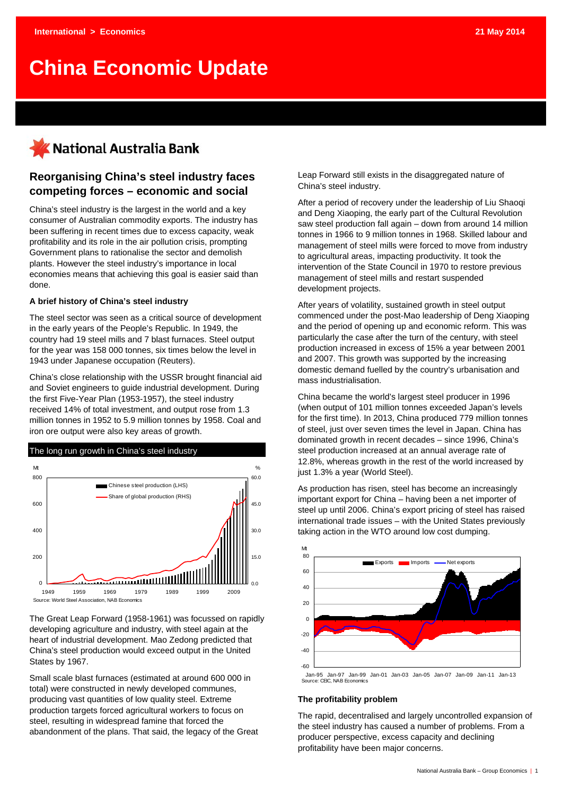# **China Economic Update**

# National Australia Bank

## **Reorganising China's steel industry faces competing forces – economic and social**

China's steel industry is the largest in the world and a key consumer of Australian commodity exports. The industry has been suffering in recent times due to excess capacity, weak profitability and its role in the air pollution crisis, prompting Government plans to rationalise the sector and demolish plants. However the steel industry's importance in local economies means that achieving this goal is easier said than done.

#### **A brief history of China's steel industry**

The steel sector was seen as a critical source of development in the early years of the People's Republic. In 1949, the country had 19 steel mills and 7 blast furnaces. Steel output for the year was 158 000 tonnes, six times below the level in 1943 under Japanese occupation (Reuters).

China's close relationship with the USSR brought financial aid and Soviet engineers to guide industrial development. During the first Five-Year Plan (1953-1957), the steel industry received 14% of total investment, and output rose from 1.3 million tonnes in 1952 to 5.9 million tonnes by 1958. Coal and iron ore output were also key areas of growth.



The Great Leap Forward (1958-1961) was focussed on rapidly developing agriculture and industry, with steel again at the heart of industrial development. Mao Zedong predicted that China's steel production would exceed output in the United States by 1967.

Small scale blast furnaces (estimated at around 600 000 in total) were constructed in newly developed communes, producing vast quantities of low quality steel. Extreme production targets forced agricultural workers to focus on steel, resulting in widespread famine that forced the abandonment of the plans. That said, the legacy of the Great Leap Forward still exists in the disaggregated nature of China's steel industry.

After a period of recovery under the leadership of Liu Shaoqi and Deng Xiaoping, the early part of the Cultural Revolution saw steel production fall again – down from around 14 million tonnes in 1966 to 9 million tonnes in 1968. Skilled labour and management of steel mills were forced to move from industry to agricultural areas, impacting productivity. It took the intervention of the State Council in 1970 to restore previous management of steel mills and restart suspended development projects.

After years of volatility, sustained growth in steel output commenced under the post-Mao leadership of Deng Xiaoping and the period of opening up and economic reform. This was particularly the case after the turn of the century, with steel production increased in excess of 15% a year between 2001 and 2007. This growth was supported by the increasing domestic demand fuelled by the country's urbanisation and mass industrialisation.

China became the world's largest steel producer in 1996 (when output of 101 million tonnes exceeded Japan's levels for the first time). In 2013, China produced 779 million tonnes of steel, just over seven times the level in Japan. China has dominated growth in recent decades – since 1996, China's steel production increased at an annual average rate of 12.8%, whereas growth in the rest of the world increased by just 1.3% a year (World Steel).

As production has risen, steel has become an increasingly important export for China – having been a net importer of steel up until 2006. China's export pricing of steel has raised international trade issues – with the United States previously taking action in the WTO around low cost dumping.



Jan-95 Jan-97 Jan-99 Jan-01 Jan-03 Jan-05 Jan-07 Jan-09 Jan-11 Jan-13 Source: CEIC, NAB Economics

#### **The profitability problem**

The rapid, decentralised and largely uncontrolled expansion of the steel industry has caused a number of problems. From a producer perspective, excess capacity and declining profitability have been major concerns.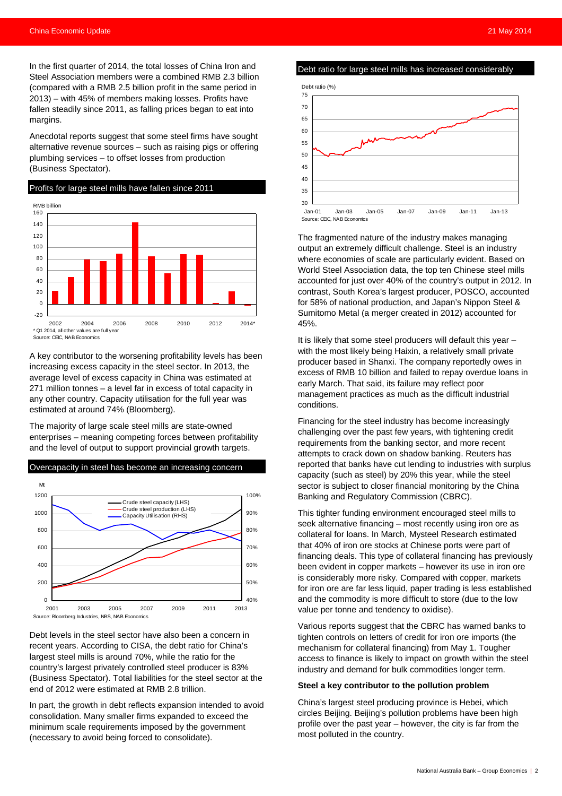In the first quarter of 2014, the total losses of China Iron and Steel Association members were a combined RMB 2.3 billion (compared with a RMB 2.5 billion profit in the same period in 2013) – with 45% of members making losses. Profits have fallen steadily since 2011, as falling prices began to eat into margins.

Anecdotal reports suggest that some steel firms have sought alternative revenue sources – such as raising pigs or offering plumbing services – to offset losses from production (Business Spectator).

Profits for large steel mills have fallen since 2011 -20  $\Omega$ 20 40  $60$ 80 100 120 140 160 2002 2004 2006 2008 2010 2012 2014\*  $*$  Q1 2014, all other values are full  $\overline{ }$ Source: CEIC, NAB Economics RMB billion

A key contributor to the worsening profitability levels has been increasing excess capacity in the steel sector. In 2013, the average level of excess capacity in China was estimated at 271 million tonnes – a level far in excess of total capacity in any other country. Capacity utilisation for the full year was estimated at around 74% (Bloomberg).

The majority of large scale steel mills are state-owned enterprises – meaning competing forces between profitability and the level of output to support provincial growth targets.



Debt levels in the steel sector have also been a concern in recent years. According to CISA, the debt ratio for China's largest steel mills is around 70%, while the ratio for the country's largest privately controlled steel producer is 83% (Business Spectator). Total liabilities for the steel sector at the end of 2012 were estimated at RMB 2.8 trillion.

In part, the growth in debt reflects expansion intended to avoid consolidation. Many smaller firms expanded to exceed the minimum scale requirements imposed by the government (necessary to avoid being forced to consolidate).

Debt ratio for large steel mills has increased considerably



The fragmented nature of the industry makes managing output an extremely difficult challenge. Steel is an industry where economies of scale are particularly evident. Based on World Steel Association data, the top ten Chinese steel mills accounted for just over 40% of the country's output in 2012. In contrast, South Korea's largest producer, POSCO, accounted for 58% of national production, and Japan's Nippon Steel & Sumitomo Metal (a merger created in 2012) accounted for 45%.

It is likely that some steel producers will default this year – with the most likely being Haixin, a relatively small private producer based in Shanxi. The company reportedly owes in excess of RMB 10 billion and failed to repay overdue loans in early March. That said, its failure may reflect poor management practices as much as the difficult industrial conditions.

Financing for the steel industry has become increasingly challenging over the past few years, with tightening credit requirements from the banking sector, and more recent attempts to crack down on shadow banking. Reuters has reported that banks have cut lending to industries with surplus capacity (such as steel) by 20% this year, while the steel sector is subject to closer financial monitoring by the China Banking and Regulatory Commission (CBRC).

This tighter funding environment encouraged steel mills to seek alternative financing – most recently using iron ore as collateral for loans. In March, Mysteel Research estimated that 40% of iron ore stocks at Chinese ports were part of financing deals. This type of collateral financing has previously been evident in copper markets – however its use in iron ore is considerably more risky. Compared with copper, markets for iron ore are far less liquid, paper trading is less established and the commodity is more difficult to store (due to the low value per tonne and tendency to oxidise).

Various reports suggest that the CBRC has warned banks to tighten controls on letters of credit for iron ore imports (the mechanism for collateral financing) from May 1. Tougher access to finance is likely to impact on growth within the steel industry and demand for bulk commodities longer term.

#### **Steel a key contributor to the pollution problem**

China's largest steel producing province is Hebei, which circles Beijing. Beijing's pollution problems have been high profile over the past year – however, the city is far from the most polluted in the country.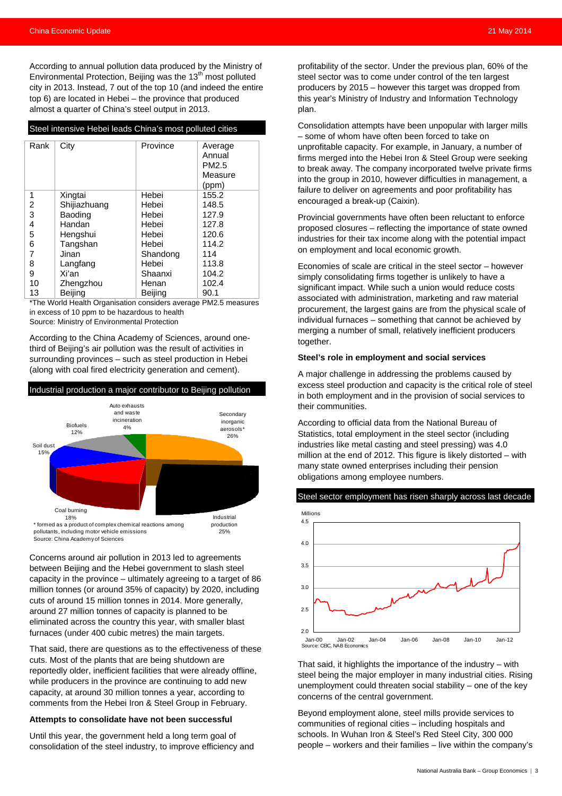According to annual pollution data produced by the Ministry of Environmental Protection, Beijing was the  $13<sup>th</sup>$  most polluted city in 2013. Instead, 7 out of the top 10 (and indeed the entire top 6) are located in Hebei – the province that produced almost a quarter of China's steel output in 2013.

| Steel intensive Hebei leads China's most polluted cities |  |  |
|----------------------------------------------------------|--|--|
|                                                          |  |  |

| Rank | City         | Province | Average<br>Annual<br>PM2.5 |
|------|--------------|----------|----------------------------|
|      |              |          | Measure<br>(ppm)           |
| 1    | Xingtai      | Hebei    | 155.2                      |
| 2    | Shijiazhuang | Hebei    | 148.5                      |
| 3    | Baoding      | Hebei    | 127.9                      |
| 4    | Handan       | Hebei    | 127.8                      |
| 5    | Hengshui     | Hebei    | 120.6                      |
| 6    | Tangshan     | Hebei    | 114.2                      |
| 7    | Jinan        | Shandong | 114                        |
| 8    | Langfang     | Hebei    | 113.8                      |
| 9    | Xi'an        | Shaanxi  | 104.2                      |
| 10   | Zhengzhou    | Henan    | 102.4                      |
| 13   | Beijing      | Beijing  | 90.1                       |

\*The World Health Organisation considers average PM2.5 measures in excess of 10 ppm to be hazardous to health

Source: Ministry of Environmental Protection

According to the China Academy of Sciences, around onethird of Beijing's air pollution was the result of activities in surrounding provinces – such as steel production in Hebei (along with coal fired electricity generation and cement).



Concerns around air pollution in 2013 led to agreements between Beijing and the Hebei government to slash steel capacity in the province – ultimately agreeing to a target of 86 million tonnes (or around 35% of capacity) by 2020, including cuts of around 15 million tonnes in 2014. More generally, around 27 million tonnes of capacity is planned to be eliminated across the country this year, with smaller blast furnaces (under 400 cubic metres) the main targets.

That said, there are questions as to the effectiveness of these cuts. Most of the plants that are being shutdown are reportedly older, inefficient facilities that were already offline, while producers in the province are continuing to add new capacity, at around 30 million tonnes a year, according to comments from the Hebei Iron & Steel Group in February.

#### **Attempts to consolidate have not been successful**

Until this year, the government held a long term goal of consolidation of the steel industry, to improve efficiency and profitability of the sector. Under the previous plan, 60% of the steel sector was to come under control of the ten largest producers by 2015 – however this target was dropped from this year's Ministry of Industry and Information Technology plan.

Consolidation attempts have been unpopular with larger mills – some of whom have often been forced to take on unprofitable capacity. For example, in January, a number of firms merged into the Hebei Iron & Steel Group were seeking to break away. The company incorporated twelve private firms into the group in 2010, however difficulties in management, a failure to deliver on agreements and poor profitability has encouraged a break-up (Caixin).

Provincial governments have often been reluctant to enforce proposed closures – reflecting the importance of state owned industries for their tax income along with the potential impact on employment and local economic growth.

Economies of scale are critical in the steel sector – however simply consolidating firms together is unlikely to have a significant impact. While such a union would reduce costs associated with administration, marketing and raw material procurement, the largest gains are from the physical scale of individual furnaces – something that cannot be achieved by merging a number of small, relatively inefficient producers together.

#### **Steel's role in employment and social services**

A major challenge in addressing the problems caused by excess steel production and capacity is the critical role of steel in both employment and in the provision of social services to their communities.

According to official data from the National Bureau of Statistics, total employment in the steel sector (including industries like metal casting and steel pressing) was 4.0 million at the end of 2012. This figure is likely distorted – with many state owned enterprises including their pension obligations among employee numbers.



That said, it highlights the importance of the industry – with steel being the major employer in many industrial cities. Rising unemployment could threaten social stability – one of the key concerns of the central government.

Beyond employment alone, steel mills provide services to communities of regional cities – including hospitals and schools. In Wuhan Iron & Steel's Red Steel City, 300 000 people – workers and their families – live within the company's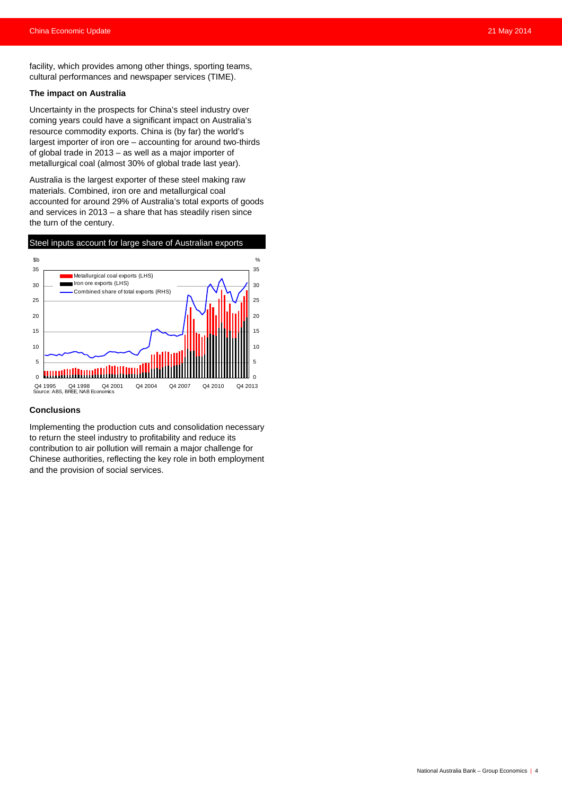facility, which provides among other things, sporting teams, cultural performances and newspaper services (TIME).

#### **The impact on Australia**

Uncertainty in the prospects for China's steel industry over coming years could have a significant impact on Australia's resource commodity exports. China is (by far) the world's largest importer of iron ore – accounting for around two-thirds of global trade in 2013 – as well as a major importer of metallurgical coal (almost 30% of global trade last year).

Australia is the largest exporter of these steel making raw materials. Combined, iron ore and metallurgical coal accounted for around 29% of Australia's total exports of goods and services in 2013 – a share that has steadily risen since the turn of the century.



#### **Conclusions**

Implementing the production cuts and consolidation necessary to return the steel industry to profitability and reduce its contribution to air pollution will remain a major challenge for Chinese authorities, reflecting the key role in both employment and the provision of social services.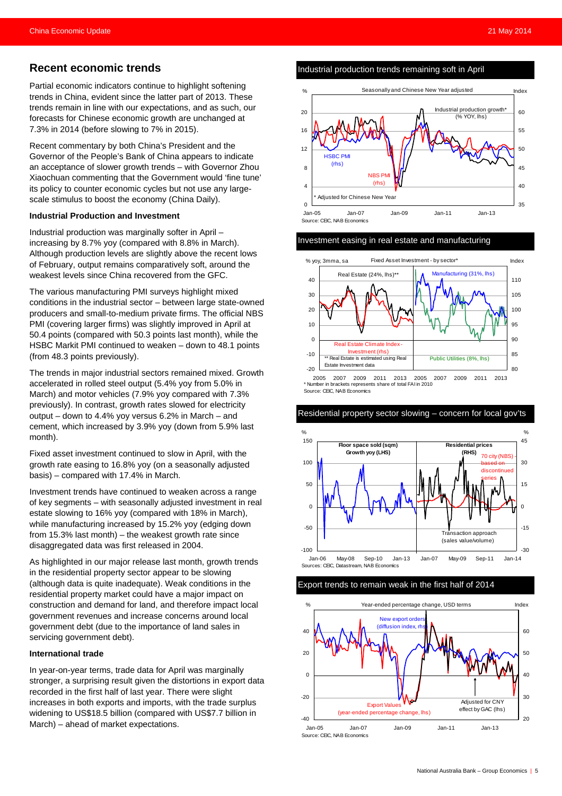### **Recent economic trends**

Partial economic indicators continue to highlight softening trends in China, evident since the latter part of 2013. These trends remain in line with our expectations, and as such, our forecasts for Chinese economic growth are unchanged at 7.3% in 2014 (before slowing to 7% in 2015).

Recent commentary by both China's President and the Governor of the People's Bank of China appears to indicate an acceptance of slower growth trends – with Governor Zhou Xiaochuan commenting that the Government would 'fine tune' its policy to counter economic cycles but not use any largescale stimulus to boost the economy (China Daily).

#### **Industrial Production and Investment**

Industrial production was marginally softer in April – increasing by 8.7% yoy (compared with 8.8% in March). Although production levels are slightly above the recent lows of February, output remains comparatively soft, around the weakest levels since China recovered from the GFC.

The various manufacturing PMI surveys highlight mixed conditions in the industrial sector – between large state-owned producers and small-to-medium private firms. The official NBS PMI (covering larger firms) was slightly improved in April at 50.4 points (compared with 50.3 points last month), while the HSBC Markit PMI continued to weaken – down to 48.1 points (from 48.3 points previously).

The trends in major industrial sectors remained mixed. Growth accelerated in rolled steel output (5.4% yoy from 5.0% in March) and motor vehicles (7.9% yoy compared with 7.3% previously). In contrast, growth rates slowed for electricity output – down to 4.4% yoy versus 6.2% in March – and cement, which increased by 3.9% yoy (down from 5.9% last month).

Fixed asset investment continued to slow in April, with the growth rate easing to 16.8% yoy (on a seasonally adjusted basis) – compared with 17.4% in March.

Investment trends have continued to weaken across a range of key segments – with seasonally adjusted investment in real estate slowing to 16% yoy (compared with 18% in March), while manufacturing increased by 15.2% yoy (edging down from 15.3% last month) – the weakest growth rate since disaggregated data was first released in 2004.

As highlighted in our major release last month, growth trends in the residential property sector appear to be slowing (although data is quite inadequate). Weak conditions in the residential property market could have a major impact on construction and demand for land, and therefore impact local government revenues and increase concerns around local government debt (due to the importance of land sales in servicing government debt).

#### **International trade**

In year-on-year terms, trade data for April was marginally stronger, a surprising result given the distortions in export data recorded in the first half of last year. There were slight increases in both exports and imports, with the trade surplus widening to US\$18.5 billion (compared with US\$7.7 billion in March) – ahead of market expectations.

Industrial production trends remaining soft in April



#### Investment easing in real estate and manufacturing



Source: CEIC, NAB Economics

Residential property sector slowing – concern for local gov'ts



#### Export trends to remain weak in the first half of 2014

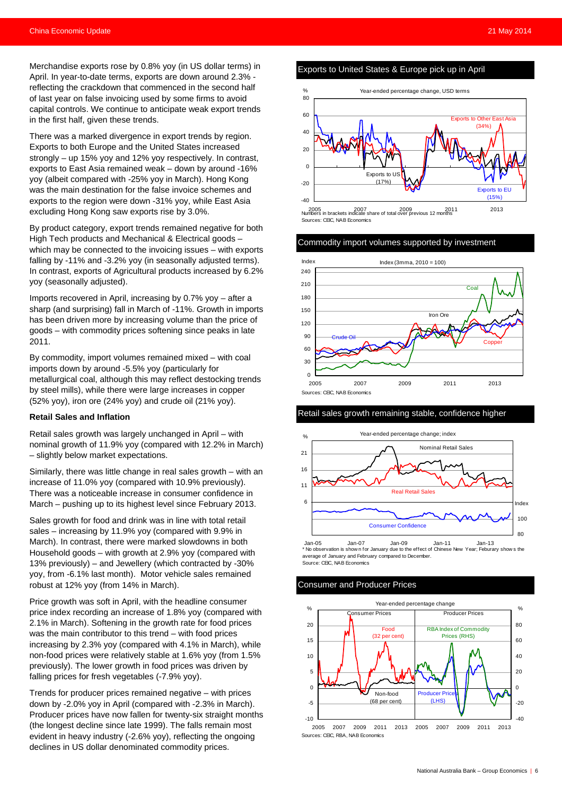Merchandise exports rose by 0.8% yoy (in US dollar terms) in April. In year-to-date terms, exports are down around 2.3% reflecting the crackdown that commenced in the second half of last year on false invoicing used by some firms to avoid capital controls. We continue to anticipate weak export trends in the first half, given these trends.

There was a marked divergence in export trends by region. Exports to both Europe and the United States increased strongly – up 15% yoy and 12% yoy respectively. In contrast, exports to East Asia remained weak – down by around -16% yoy (albeit compared with -25% yoy in March). Hong Kong was the main destination for the false invoice schemes and exports to the region were down -31% yoy, while East Asia excluding Hong Kong saw exports rise by 3.0%.

By product category, export trends remained negative for both High Tech products and Mechanical & Electrical goods – which may be connected to the invoicing issues – with exports falling by -11% and -3.2% yoy (in seasonally adjusted terms). In contrast, exports of Agricultural products increased by 6.2% yoy (seasonally adjusted).

Imports recovered in April, increasing by 0.7% yoy – after a sharp (and surprising) fall in March of -11%. Growth in imports has been driven more by increasing volume than the price of goods – with commodity prices softening since peaks in late 2011.

By commodity, import volumes remained mixed – with coal imports down by around -5.5% yoy (particularly for metallurgical coal, although this may reflect destocking trends by steel mills), while there were large increases in copper (52% yoy), iron ore (24% yoy) and crude oil (21% yoy).

#### **Retail Sales and Inflation**

Retail sales growth was largely unchanged in April – with nominal growth of 11.9% yoy (compared with 12.2% in March) – slightly below market expectations.

Similarly, there was little change in real sales growth – with an increase of 11.0% yoy (compared with 10.9% previously). There was a noticeable increase in consumer confidence in March – pushing up to its highest level since February 2013.

Sales growth for food and drink was in line with total retail sales – increasing by 11.9% yoy (compared with 9.9% in March). In contrast, there were marked slowdowns in both Household goods – with growth at 2.9% yoy (compared with 13% previously) – and Jewellery (which contracted by -30% yoy, from -6.1% last month). Motor vehicle sales remained robust at 12% yoy (from 14% in March).

Price growth was soft in April, with the headline consumer price index recording an increase of 1.8% yoy (compared with 2.1% in March). Softening in the growth rate for food prices was the main contributor to this trend – with food prices increasing by 2.3% yoy (compared with 4.1% in March), while non-food prices were relatively stable at 1.6% yoy (from 1.5% previously). The lower growth in food prices was driven by falling prices for fresh vegetables (-7.9% yoy).

Trends for producer prices remained negative – with prices down by -2.0% yoy in April (compared with -2.3% in March). Producer prices have now fallen for twenty-six straight months (the longest decline since late 1999). The falls remain most evident in heavy industry (-2.6% yoy), reflecting the ongoing declines in US dollar denominated commodity prices.

#### Exports to United States & Europe pick up in April



#### Commodity import volumes supported by investment



#### Retail sales growth remaining stable, confidence higher



Jan-05 Jan-07 Jan-09 Jan-11 Jan-13 \* No observation is show n for January due to the effect of Chinese New Year; Feburary show s the average of January and February compared to December. Source: CEIC, NAB Economics

#### Consumer and Producer Prices

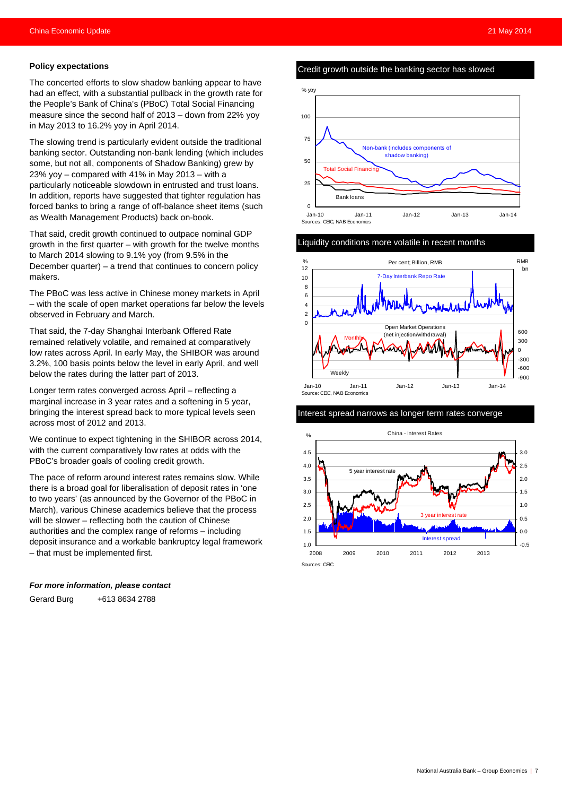#### **Policy expectations**

The concerted efforts to slow shadow banking appear to have had an effect, with a substantial pullback in the growth rate for the People's Bank of China's (PBoC) Total Social Financing measure since the second half of 2013 – down from 22% yoy in May 2013 to 16.2% yoy in April 2014.

The slowing trend is particularly evident outside the traditional banking sector. Outstanding non-bank lending (which includes some, but not all, components of Shadow Banking) grew by 23% yoy – compared with 41% in May 2013 – with a particularly noticeable slowdown in entrusted and trust loans. In addition, reports have suggested that tighter regulation has forced banks to bring a range of off-balance sheet items (such as Wealth Management Products) back on-book.

That said, credit growth continued to outpace nominal GDP growth in the first quarter – with growth for the twelve months to March 2014 slowing to 9.1% yoy (from 9.5% in the December quarter) – a trend that continues to concern policy makers.

The PBoC was less active in Chinese money markets in April – with the scale of open market operations far below the levels observed in February and March.

That said, the 7-day Shanghai Interbank Offered Rate remained relatively volatile, and remained at comparatively low rates across April. In early May, the SHIBOR was around 3.2%, 100 basis points below the level in early April, and well below the rates during the latter part of 2013.

Longer term rates converged across April – reflecting a marginal increase in 3 year rates and a softening in 5 year, bringing the interest spread back to more typical levels seen across most of 2012 and 2013.

We continue to expect tightening in the SHIBOR across 2014, with the current comparatively low rates at odds with the PBoC's broader goals of cooling credit growth.

The pace of reform around interest rates remains slow. While there is a broad goal for liberalisation of deposit rates in 'one to two years' (as announced by the Governor of the PBoC in March), various Chinese academics believe that the process will be slower – reflecting both the caution of Chinese authorities and the complex range of reforms – including deposit insurance and a workable bankruptcy legal framework – that must be implemented first.

#### *For more information, please contact*

Gerard Burg +613 8634 2788

#### Credit growth outside the banking sector has slowed



#### Liquidity conditions more volatile in recent months



#### Interest spread narrows as longer term rates converge